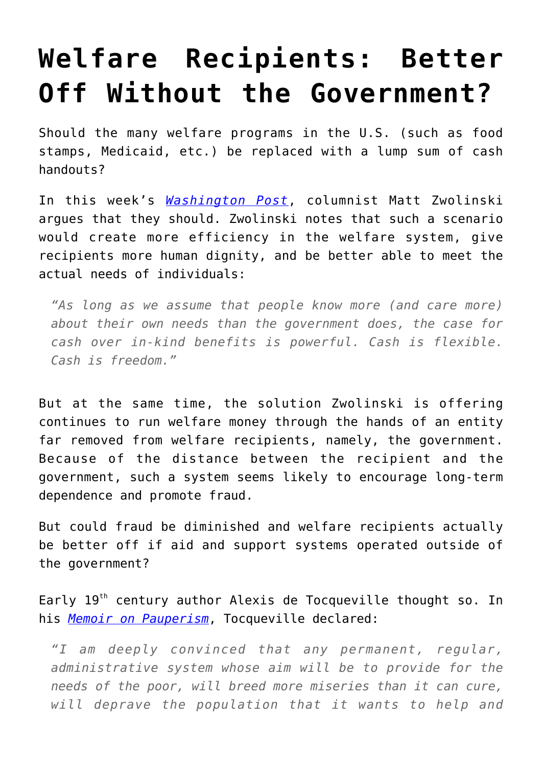## **[Welfare Recipients: Better](https://intellectualtakeout.org/2015/10/welfare-recipients-better-off-without-the-government/) [Off Without the Government?](https://intellectualtakeout.org/2015/10/welfare-recipients-better-off-without-the-government/)**

Should the many welfare programs in the U.S. (such as food stamps, Medicaid, etc.) be replaced with a lump sum of cash handouts?

In this week's *[Washington Post](http://www.washingtonpost.com/news/in-theory/wp/2015/09/28/our-welfare-system-insults-the-poor-basic-income-could-do-better/)*, columnist Matt Zwolinski argues that they should. Zwolinski notes that such a scenario would create more efficiency in the welfare system, give recipients more human dignity, and be better able to meet the actual needs of individuals:

*"As long as we assume that people know more (and care more) about their own needs than the government does, the case for cash over in-kind benefits is powerful. Cash is flexible. Cash is freedom."*

But at the same time, the solution Zwolinski is offering continues to run welfare money through the hands of an entity far removed from welfare recipients, namely, the government. Because of the distance between the recipient and the government, such a system seems likely to encourage long-term dependence and promote fraud.

But could fraud be diminished and welfare recipients actually be better off if aid and support systems operated outside of the government?

Early 19<sup>th</sup> century author Alexis de Tocqueville thought so. In his *[Memoir on Pauperism](http://www.civitas.org.uk/pdf/Tocqueville_rr2.pdf)*, Tocqueville declared:

*"I am deeply convinced that any permanent, regular, administrative system whose aim will be to provide for the needs of the poor, will breed more miseries than it can cure, will deprave the population that it wants to help and*